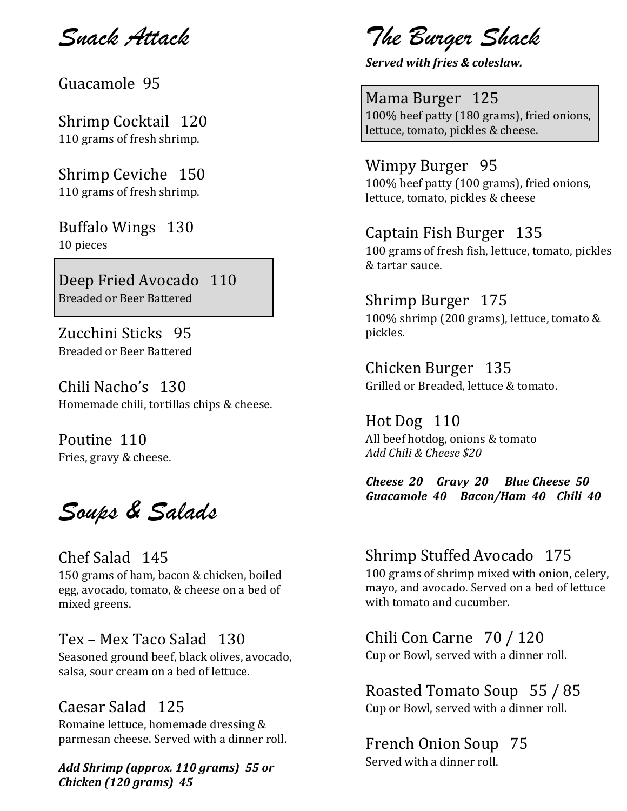*Snack Attack* 

Guacamole 95

Shrimp Cocktail 120 110 grams of fresh shrimp.

Shrimp Ceviche 150 110 grams of fresh shrimp.

Buffalo Wings 130 10 pieces

Deep Fried Avocado 110 Breaded or Beer Battered

Zucchini Sticks 95 Breaded or Beer Battered

Chili Nacho's 130 Homemade chili, tortillas chips & cheese.

Poutine 110 Fries, gravy & cheese.

*Soups & Salads*

Chef Salad 145 150 grams of ham, bacon & chicken, boiled egg, avocado, tomato, & cheese on a bed of mixed greens.

Tex – Mex Taco Salad 130 Seasoned ground beef, black olives, avocado,

salsa, sour cream on a bed of lettuce.

#### Caesar Salad 125

Romaine lettuce, homemade dressing & parmesan cheese. Served with a dinner roll.

*Add Shrimp (approx. 110 grams) 55 or Chicken (120 grams) 45*

*The Burger Shack* 

*Served with fries & coleslaw.*

Mama Burger 125 100% beef patty (180 grams), fried onions, lettuce, tomato, pickles & cheese.

Wimpy Burger 95 100% beef patty (100 grams), fried onions, lettuce, tomato, pickles & cheese

#### Captain Fish Burger 135

100 grams of fresh fish, lettuce, tomato, pickles & tartar sauce.

Shrimp Burger 175 100% shrimp (200 grams), lettuce, tomato & pickles.

Chicken Burger 135 Grilled or Breaded, lettuce & tomato.

Hot Dog 110 All beef hotdog, onions & tomato *Add Chili & Cheese \$20*

*Cheese 20 Gravy 20 Blue Cheese 50 Guacamole 40 Bacon/Ham 40 Chili 40*

Shrimp Stuffed Avocado 175 100 grams of shrimp mixed with onion, celery, mayo, and avocado. Served on a bed of lettuce with tomato and cucumber.

Chili Con Carne 70 / 120 Cup or Bowl, served with a dinner roll.

Roasted Tomato Soup 55 / 85 Cup or Bowl, served with a dinner roll.

French Onion Soup 75 Served with a dinner roll.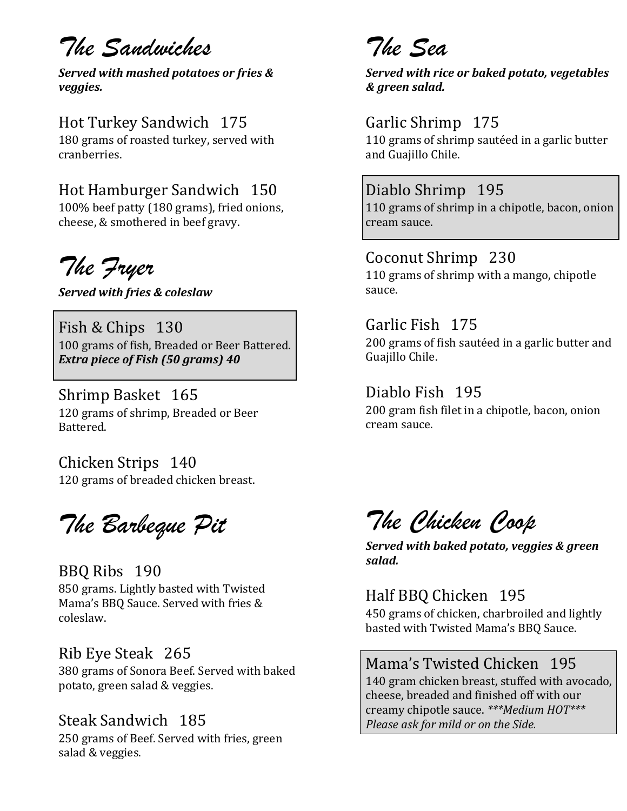# *The Sandwiches*

*Served with mashed potatoes or fries & veggies.*

# Hot Turkey Sandwich 175

180 grams of roasted turkey, served with cranberries.

# Hot Hamburger Sandwich 150

100% beef patty (180 grams), fried onions, cheese, & smothered in beef gravy.

*The Fryer*

*Served with fries & coleslaw*

Fish & Chips 130 100 grams of fish, Breaded or Beer Battered. *Extra piece of Fish (50 grams) 40*

Shrimp Basket 165 120 grams of shrimp, Breaded or Beer Battered.

Chicken Strips 140 120 grams of breaded chicken breast.

*The Barbeque Pit*

### BBQ Ribs 190

850 grams. Lightly basted with Twisted Mama's BBQ Sauce. Served with fries & coleslaw.

### Rib Eye Steak 265

380 grams of Sonora Beef. Served with baked potato, green salad & veggies.

### Steak Sandwich 185

250 grams of Beef. Served with fries, green salad & veggies.

# *The Sea*

*Served with rice or baked potato, vegetables & green salad.* 

# Garlic Shrimp 175

110 grams of shrimp sautéed in a garlic butter and Guajillo Chile.

## Diablo Shrimp 195

110 grams of shrimp in a chipotle, bacon, onion cream sauce.

# Coconut Shrimp 230

110 grams of shrimp with a mango, chipotle sauce.

### Garlic Fish 175

200 grams of fish sautéed in a garlic butter and Guajillo Chile.

### Diablo Fish 195

200 gram fish filet in a chipotle, bacon, onion cream sauce.

*The Chicken Coop*

*Served with baked potato, veggies & green salad.* 

#### Half BBQ Chicken 195 450 grams of chicken, charbroiled and lightly basted with Twisted Mama's BBQ Sauce.

#### Mama's Twisted Chicken 195 140 gram chicken breast, stuffed with avocado, cheese, breaded and finished off with our creamy chipotle sauce. *\*\*\*Medium HOT\*\*\* Please ask for mild or on the Side.*